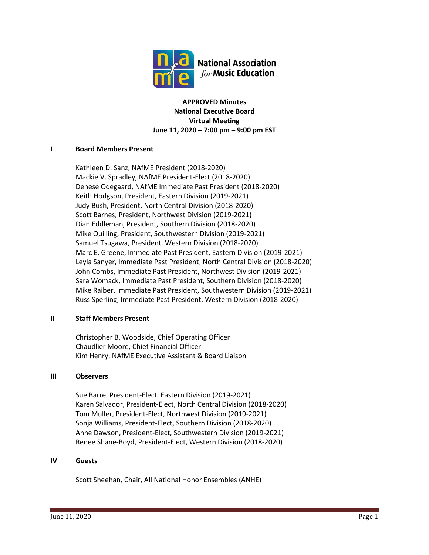

**APPROVED Minutes National Executive Board Virtual Meeting June 11, 2020 – 7:00 pm – 9:00 pm EST**

## **I Board Members Present**

Kathleen D. Sanz, NAfME President (2018-2020) Mackie V. Spradley, NAfME President-Elect (2018-2020) Denese Odegaard, NAfME Immediate Past President (2018-2020) Keith Hodgson, President, Eastern Division (2019-2021) Judy Bush, President, North Central Division (2018-2020) Scott Barnes, President, Northwest Division (2019-2021) Dian Eddleman, President, Southern Division (2018-2020) Mike Quilling, President, Southwestern Division (2019-2021) Samuel Tsugawa, President, Western Division (2018-2020) Marc E. Greene, Immediate Past President, Eastern Division (2019-2021) Leyla Sanyer, Immediate Past President, North Central Division (2018-2020) John Combs, Immediate Past President, Northwest Division (2019-2021) Sara Womack, Immediate Past President, Southern Division (2018-2020) Mike Raiber, Immediate Past President, Southwestern Division (2019-2021) Russ Sperling, Immediate Past President, Western Division (2018-2020)

## **II Staff Members Present**

Christopher B. Woodside, Chief Operating Officer Chaudlier Moore, Chief Financial Officer Kim Henry, NAfME Executive Assistant & Board Liaison

## **III Observers**

Sue Barre, President-Elect, Eastern Division (2019-2021) Karen Salvador, President-Elect, North Central Division (2018-2020) Tom Muller, President-Elect, Northwest Division (2019-2021) Sonja Williams, President-Elect, Southern Division (2018-2020) Anne Dawson, President-Elect, Southwestern Division (2019-2021) Renee Shane-Boyd, President-Elect, Western Division (2018-2020)

## **IV Guests**

Scott Sheehan, Chair, All National Honor Ensembles (ANHE)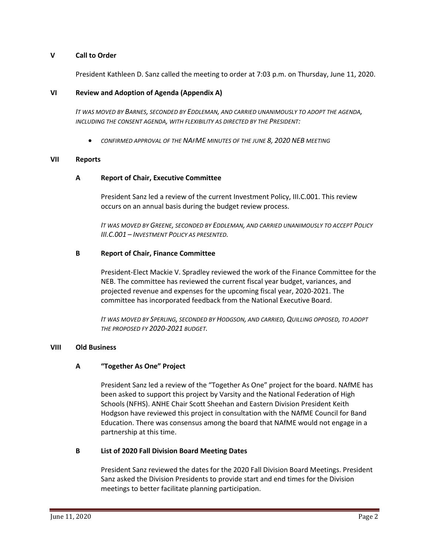#### **V Call to Order**

President Kathleen D. Sanz called the meeting to order at 7:03 p.m. on Thursday, June 11, 2020.

#### **VI Review and Adoption of Agenda (Appendix A)**

*IT WAS MOVED BY BARNES, SECONDED BY EDDLEMAN, AND CARRIED UNANIMOUSLY TO ADOPT THE AGENDA, INCLUDING THE CONSENT AGENDA, WITH FLEXIBILITY AS DIRECTED BY THE PRESIDENT:*

• *CONFIRMED APPROVAL OF THE NAFME MINUTES OF THE JUNE 8, 2020 NEB MEETING*

#### **VII Reports**

#### **A Report of Chair, Executive Committee**

President Sanz led a review of the current Investment Policy, III.C.001. This review occurs on an annual basis during the budget review process.

*IT WAS MOVED BY GREENE, SECONDED BY EDDLEMAN, AND CARRIED UNANIMOUSLY TO ACCEPT POLICY III.C.001 – INVESTMENT POLICY AS PRESENTED.*

#### **B Report of Chair, Finance Committee**

President-Elect Mackie V. Spradley reviewed the work of the Finance Committee for the NEB. The committee has reviewed the current fiscal year budget, variances, and projected revenue and expenses for the upcoming fiscal year, 2020-2021. The committee has incorporated feedback from the National Executive Board.

*IT WAS MOVED BY SPERLING, SECONDED BY HODGSON, AND CARRIED, QUILLING OPPOSED, TO ADOPT THE PROPOSED FY 2020-2021 BUDGET.*

#### **VIII Old Business**

## **A "Together As One" Project**

President Sanz led a review of the "Together As One" project for the board. NAfME has been asked to support this project by Varsity and the National Federation of High Schools (NFHS). ANHE Chair Scott Sheehan and Eastern Division President Keith Hodgson have reviewed this project in consultation with the NAfME Council for Band Education. There was consensus among the board that NAfME would not engage in a partnership at this time.

#### **B List of 2020 Fall Division Board Meeting Dates**

President Sanz reviewed the dates for the 2020 Fall Division Board Meetings. President Sanz asked the Division Presidents to provide start and end times for the Division meetings to better facilitate planning participation.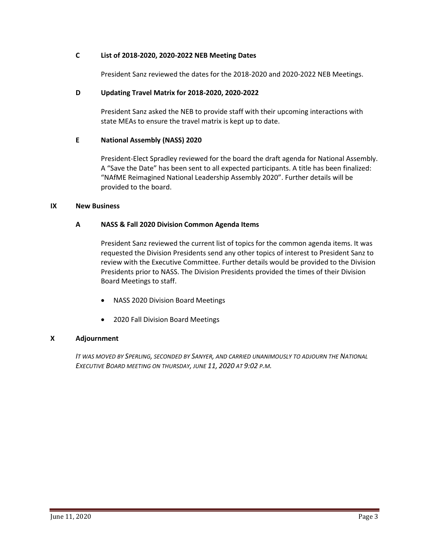## **C List of 2018-2020, 2020-2022 NEB Meeting Dates**

President Sanz reviewed the dates for the 2018-2020 and 2020-2022 NEB Meetings.

## **D Updating Travel Matrix for 2018-2020, 2020-2022**

President Sanz asked the NEB to provide staff with their upcoming interactions with state MEAs to ensure the travel matrix is kept up to date.

## **E National Assembly (NASS) 2020**

President-Elect Spradley reviewed for the board the draft agenda for National Assembly. A "Save the Date" has been sent to all expected participants. A title has been finalized: "NAfME Reimagined National Leadership Assembly 2020". Further details will be provided to the board.

## **IX New Business**

## **A NASS & Fall 2020 Division Common Agenda Items**

President Sanz reviewed the current list of topics for the common agenda items. It was requested the Division Presidents send any other topics of interest to President Sanz to review with the Executive Committee. Further details would be provided to the Division Presidents prior to NASS. The Division Presidents provided the times of their Division Board Meetings to staff.

- NASS 2020 Division Board Meetings
- 2020 Fall Division Board Meetings

## **X Adjournment**

*IT WAS MOVED BY SPERLING, SECONDED BY SANYER, AND CARRIED UNANIMOUSLY TO ADJOURN THE NATIONAL EXECUTIVE BOARD MEETING ON THURSDAY, JUNE 11, 2020 AT 9:02 P.M.*